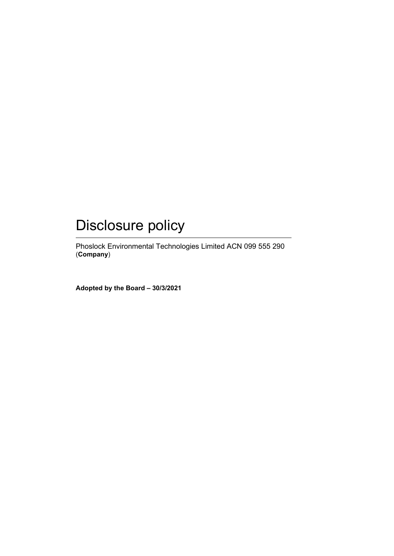# Disclosure policy

Phoslock Environmental Technologies Limited ACN 099 555 290 (**Company**)

**Adopted by the Board – 30/3/2021**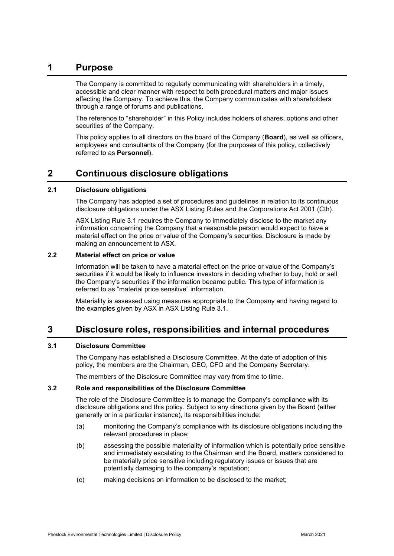# **1 Purpose**

The Company is committed to regularly communicating with shareholders in a timely, accessible and clear manner with respect to both procedural matters and major issues affecting the Company. To achieve this, the Company communicates with shareholders through a range of forums and publications.

The reference to "shareholder" in this Policy includes holders of shares, options and other securities of the Company.

This policy applies to all directors on the board of the Company (**Board**), as well as officers, employees and consultants of the Company (for the purposes of this policy, collectively referred to as **Personnel**).

# **2 Continuous disclosure obligations**

#### **2.1 Disclosure obligations**

The Company has adopted a set of procedures and guidelines in relation to its continuous disclosure obligations under the ASX Listing Rules and the Corporations Act 2001 (Cth).

ASX Listing Rule 3.1 requires the Company to immediately disclose to the market any information concerning the Company that a reasonable person would expect to have a material effect on the price or value of the Company's securities. Disclosure is made by making an announcement to ASX.

# **2.2 Material effect on price or value**

Information will be taken to have a material effect on the price or value of the Company's securities if it would be likely to influence investors in deciding whether to buy, hold or sell the Company's securities if the information became public. This type of information is referred to as "material price sensitive" information.

Materiality is assessed using measures appropriate to the Company and having regard to the examples given by ASX in ASX Listing Rule 3.1.

# **3 Disclosure roles, responsibilities and internal procedures**

# **3.1 Disclosure Committee**

The Company has established a Disclosure Committee. At the date of adoption of this policy, the members are the Chairman, CEO, CFO and the Company Secretary.

The members of the Disclosure Committee may vary from time to time.

#### **3.2 Role and responsibilities of the Disclosure Committee**

The role of the Disclosure Committee is to manage the Company's compliance with its disclosure obligations and this policy. Subject to any directions given by the Board (either generally or in a particular instance), its responsibilities include:

- (a) monitoring the Company's compliance with its disclosure obligations including the relevant procedures in place;
- (b) assessing the possible materiality of information which is potentially price sensitive and immediately escalating to the Chairman and the Board, matters considered to be materially price sensitive including regulatory issues or issues that are potentially damaging to the company's reputation;
- (c) making decisions on information to be disclosed to the market;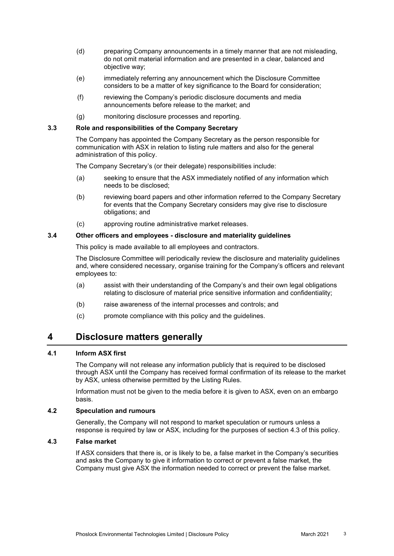- (d) preparing Company announcements in a timely manner that are not misleading, do not omit material information and are presented in a clear, balanced and objective way;
- (e) immediately referring any announcement which the Disclosure Committee considers to be a matter of key significance to the Board for consideration;
- (f) reviewing the Company's periodic disclosure documents and media announcements before release to the market; and
- (g) monitoring disclosure processes and reporting.

#### **3.3 Role and responsibilities of the Company Secretary**

The Company has appointed the Company Secretary as the person responsible for communication with ASX in relation to listing rule matters and also for the general administration of this policy.

The Company Secretary's (or their delegate) responsibilities include:

- (a) seeking to ensure that the ASX immediately notified of any information which needs to be disclosed;
- (b) reviewing board papers and other information referred to the Company Secretary for events that the Company Secretary considers may give rise to disclosure obligations; and
- (c) approving routine administrative market releases.

#### **3.4 Other officers and employees - disclosure and materiality guidelines**

This policy is made available to all employees and contractors.

The Disclosure Committee will periodically review the disclosure and materiality guidelines and, where considered necessary, organise training for the Company's officers and relevant employees to:

- (a) assist with their understanding of the Company's and their own legal obligations relating to disclosure of material price sensitive information and confidentiality;
- (b) raise awareness of the internal processes and controls; and
- (c) promote compliance with this policy and the guidelines.

# **4 Disclosure matters generally**

## **4.1 Inform ASX first**

The Company will not release any information publicly that is required to be disclosed through ASX until the Company has received formal confirmation of its release to the market by ASX, unless otherwise permitted by the Listing Rules.

Information must not be given to the media before it is given to ASX, even on an embargo basis.

## **4.2 Speculation and rumours**

Generally, the Company will not respond to market speculation or rumours unless a response is required by law or ASX, including for the purposes of section 4.3 of this policy.

## **4.3 False market**

If ASX considers that there is, or is likely to be, a false market in the Company's securities and asks the Company to give it information to correct or prevent a false market, the Company must give ASX the information needed to correct or prevent the false market.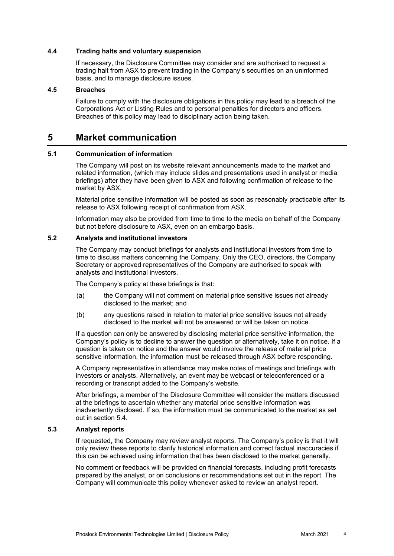#### **4.4 Trading halts and voluntary suspension**

If necessary, the Disclosure Committee may consider and are authorised to request a trading halt from ASX to prevent trading in the Company's securities on an uninformed basis, and to manage disclosure issues.

#### **4.5 Breaches**

Failure to comply with the disclosure obligations in this policy may lead to a breach of the Corporations Act or Listing Rules and to personal penalties for directors and officers. Breaches of this policy may lead to disciplinary action being taken.

# **5 Market communication**

#### **5.1 Communication of information**

The Company will post on its website relevant announcements made to the market and related information, (which may include slides and presentations used in analyst or media briefings) after they have been given to ASX and following confirmation of release to the market by ASX.

Material price sensitive information will be posted as soon as reasonably practicable after its release to ASX following receipt of confirmation from ASX.

Information may also be provided from time to time to the media on behalf of the Company but not before disclosure to ASX, even on an embargo basis.

#### **5.2 Analysts and institutional investors**

The Company may conduct briefings for analysts and institutional investors from time to time to discuss matters concerning the Company. Only the CEO, directors, the Company Secretary or approved representatives of the Company are authorised to speak with analysts and institutional investors.

The Company's policy at these briefings is that:

- (a) the Company will not comment on material price sensitive issues not already disclosed to the market; and
- (b) any questions raised in relation to material price sensitive issues not already disclosed to the market will not be answered or will be taken on notice.

If a question can only be answered by disclosing material price sensitive information, the Company's policy is to decline to answer the question or alternatively, take it on notice. If a question is taken on notice and the answer would involve the release of material price sensitive information, the information must be released through ASX before responding.

A Company representative in attendance may make notes of meetings and briefings with investors or analysts. Alternatively, an event may be webcast or teleconferenced or a recording or transcript added to the Company's website.

After briefings, a member of the Disclosure Committee will consider the matters discussed at the briefings to ascertain whether any material price sensitive information was inadvertently disclosed. If so, the information must be communicated to the market as set out in section 5.4.

# **5.3 Analyst reports**

If requested, the Company may review analyst reports. The Company's policy is that it will only review these reports to clarify historical information and correct factual inaccuracies if this can be achieved using information that has been disclosed to the market generally.

No comment or feedback will be provided on financial forecasts, including profit forecasts prepared by the analyst, or on conclusions or recommendations set out in the report. The Company will communicate this policy whenever asked to review an analyst report.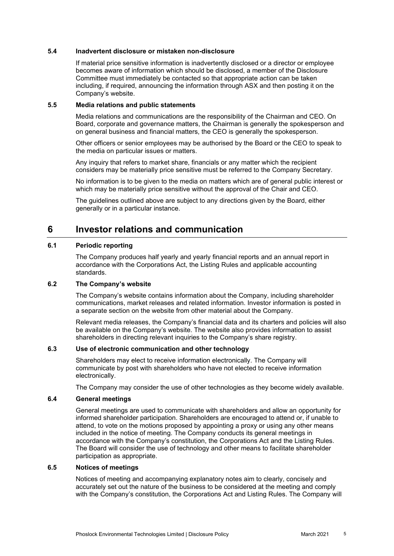#### **5.4 Inadvertent disclosure or mistaken non-disclosure**

If material price sensitive information is inadvertently disclosed or a director or employee becomes aware of information which should be disclosed, a member of the Disclosure Committee must immediately be contacted so that appropriate action can be taken including, if required, announcing the information through ASX and then posting it on the Company's website.

#### **5.5 Media relations and public statements**

Media relations and communications are the responsibility of the Chairman and CEO. On Board, corporate and governance matters, the Chairman is generally the spokesperson and on general business and financial matters, the CEO is generally the spokesperson.

Other officers or senior employees may be authorised by the Board or the CEO to speak to the media on particular issues or matters.

Any inquiry that refers to market share, financials or any matter which the recipient considers may be materially price sensitive must be referred to the Company Secretary.

No information is to be given to the media on matters which are of general public interest or which may be materially price sensitive without the approval of the Chair and CEO.

The guidelines outlined above are subject to any directions given by the Board, either generally or in a particular instance.

# **6 Investor relations and communication**

## **6.1 Periodic reporting**

The Company produces half yearly and yearly financial reports and an annual report in accordance with the Corporations Act, the Listing Rules and applicable accounting standards.

#### **6.2 The Company's website**

The Company's website contains information about the Company, including shareholder communications, market releases and related information. Investor information is posted in a separate section on the website from other material about the Company.

Relevant media releases, the Company's financial data and its charters and policies will also be available on the Company's website. The website also provides information to assist shareholders in directing relevant inquiries to the Company's share registry.

#### **6.3 Use of electronic communication and other technology**

Shareholders may elect to receive information electronically. The Company will communicate by post with shareholders who have not elected to receive information electronically.

The Company may consider the use of other technologies as they become widely available.

#### **6.4 General meetings**

General meetings are used to communicate with shareholders and allow an opportunity for informed shareholder participation. Shareholders are encouraged to attend or, if unable to attend, to vote on the motions proposed by appointing a proxy or using any other means included in the notice of meeting. The Company conducts its general meetings in accordance with the Company's constitution, the Corporations Act and the Listing Rules. The Board will consider the use of technology and other means to facilitate shareholder participation as appropriate.

## **6.5 Notices of meetings**

Notices of meeting and accompanying explanatory notes aim to clearly, concisely and accurately set out the nature of the business to be considered at the meeting and comply with the Company's constitution, the Corporations Act and Listing Rules. The Company will